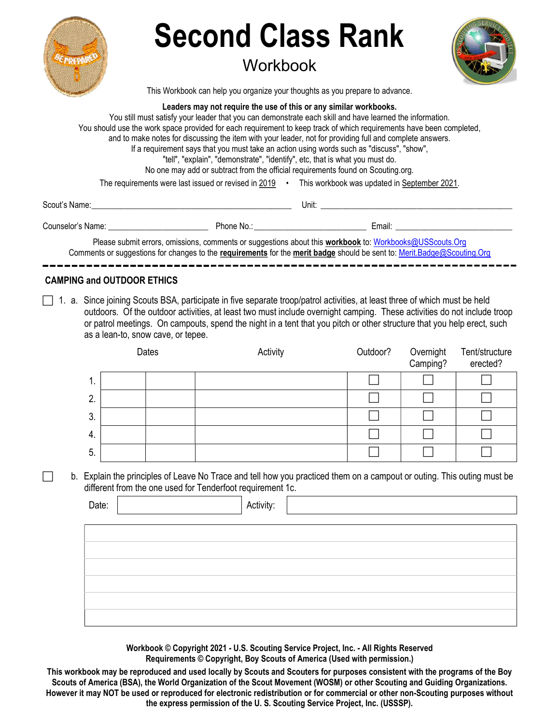| <b>Second Class Rank</b>                                                                                                                                                                                                                                                                                                                                                                                                                                                                                                                                   |                                                                                                                                                                                                                                     |  |
|------------------------------------------------------------------------------------------------------------------------------------------------------------------------------------------------------------------------------------------------------------------------------------------------------------------------------------------------------------------------------------------------------------------------------------------------------------------------------------------------------------------------------------------------------------|-------------------------------------------------------------------------------------------------------------------------------------------------------------------------------------------------------------------------------------|--|
| Workbook                                                                                                                                                                                                                                                                                                                                                                                                                                                                                                                                                   |                                                                                                                                                                                                                                     |  |
| This Workbook can help you organize your thoughts as you prepare to advance.                                                                                                                                                                                                                                                                                                                                                                                                                                                                               |                                                                                                                                                                                                                                     |  |
| Leaders may not require the use of this or any similar workbooks.<br>You still must satisfy your leader that you can demonstrate each skill and have learned the information.<br>and to make notes for discussing the item with your leader, not for providing full and complete answers.<br>If a requirement says that you must take an action using words such as "discuss", "show",<br>"tell", "explain", "demonstrate", "identify", etc, that is what you must do.<br>No one may add or subtract from the official requirements found on Scouting org. | You should use the work space provided for each requirement to keep track of which requirements have been completed,                                                                                                                |  |
|                                                                                                                                                                                                                                                                                                                                                                                                                                                                                                                                                            | The requirements were last issued or revised in 2019 • This workbook was updated in September 2021.                                                                                                                                 |  |
|                                                                                                                                                                                                                                                                                                                                                                                                                                                                                                                                                            | <b>Unit:</b> the contract of the contract of the contract of the contract of the contract of the contract of the contract of the contract of the contract of the contract of the contract of the contract of the contract of the co |  |
|                                                                                                                                                                                                                                                                                                                                                                                                                                                                                                                                                            |                                                                                                                                                                                                                                     |  |
|                                                                                                                                                                                                                                                                                                                                                                                                                                                                                                                                                            | Please submit errors, omissions, comments or suggestions about this workbook to: Workbooks@USScouts.Org<br>Comments or suggestions for changes to the requirements for the merit badge should be sent to: Merit.Badge@Scouting.Org  |  |

#### CAMPING and OUTDOOR ETHICS

 $\Box$  1. a. Since joining Scouts BSA, participate in five separate troop/patrol activities, at least three of which must be held outdoors. Of the outdoor activities, at least two must include overnight camping. These activities do not include troop or patrol meetings. On campouts, spend the night in a tent that you pitch or other structure that you help erect, such as a lean-to, snow cave, or tepee.

|    | Dates | Activity | Outdoor? | Overnight<br>Camping? | Tent/structure<br>erected? |
|----|-------|----------|----------|-----------------------|----------------------------|
| 1. |       |          |          |                       |                            |
| 2. |       |          |          |                       |                            |
| 3. |       |          |          |                       |                            |
| 4. |       |          |          |                       |                            |
| 5. |       |          |          |                       |                            |

 b. Explain the principles of Leave No Trace and tell how you practiced them on a campout or outing. This outing must be different from the one used for Tenderfoot requirement 1c.

| Date: | Activity: |
|-------|-----------|
|       |           |
|       |           |
|       |           |
|       |           |
|       |           |
|       |           |
|       |           |

Workbook © Copyright 2021 - U.S. Scouting Service Project, Inc. - All Rights Reserved Requirements © Copyright, Boy Scouts of America (Used with permission.)

This workbook may be reproduced and used locally by Scouts and Scouters for purposes consistent with the programs of the Boy Scouts of America (BSA), the World Organization of the Scout Movement (WOSM) or other Scouting and Guiding Organizations. However it may NOT be used or reproduced for electronic redistribution or for commercial or other non-Scouting purposes without the express permission of the U. S. Scouting Service Project, Inc. (USSSP).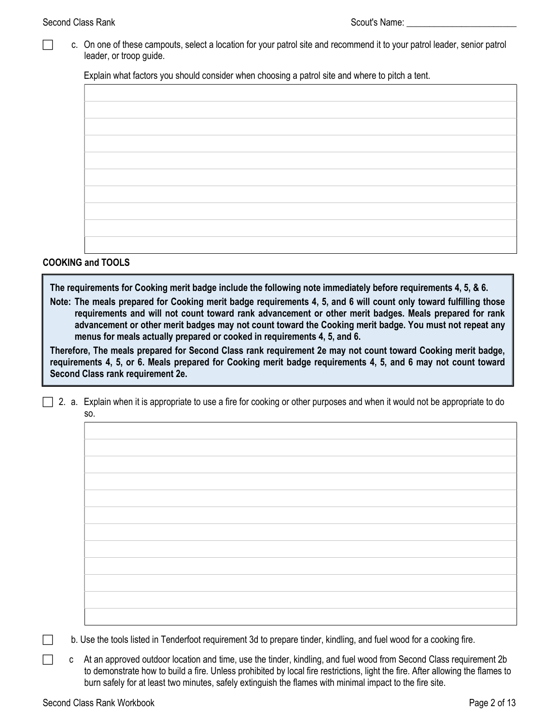c. On one of these campouts, select a location for your patrol site and recommend it to your patrol leader, senior patrol leader, or troop guide.

Explain what factors you should consider when choosing a patrol site and where to pitch a tent.

### COOKING and TOOLS

The requirements for Cooking merit badge include the following note immediately before requirements 4, 5, & 6.

Note: The meals prepared for Cooking merit badge requirements 4, 5, and 6 will count only toward fulfilling those requirements and will not count toward rank advancement or other merit badges. Meals prepared for rank advancement or other merit badges may not count toward the Cooking merit badge. You must not repeat any menus for meals actually prepared or cooked in requirements 4, 5, and 6.

Therefore, The meals prepared for Second Class rank requirement 2e may not count toward Cooking merit badge, requirements 4, 5, or 6. Meals prepared for Cooking merit badge requirements 4, 5, and 6 may not count toward Second Class rank requirement 2e.

2. a. Explain when it is appropriate to use a fire for cooking or other purposes and when it would not be appropriate to do so.

b. Use the tools listed in Tenderfoot requirement 3d to prepare tinder, kindling, and fuel wood for a cooking fire.

c At an approved outdoor location and time, use the tinder, kindling, and fuel wood from Second Class requirement 2b to demonstrate how to build a fire. Unless prohibited by local fire restrictions, light the fire. After allowing the flames to burn safely for at least two minutes, safely extinguish the flames with minimal impact to the fire site.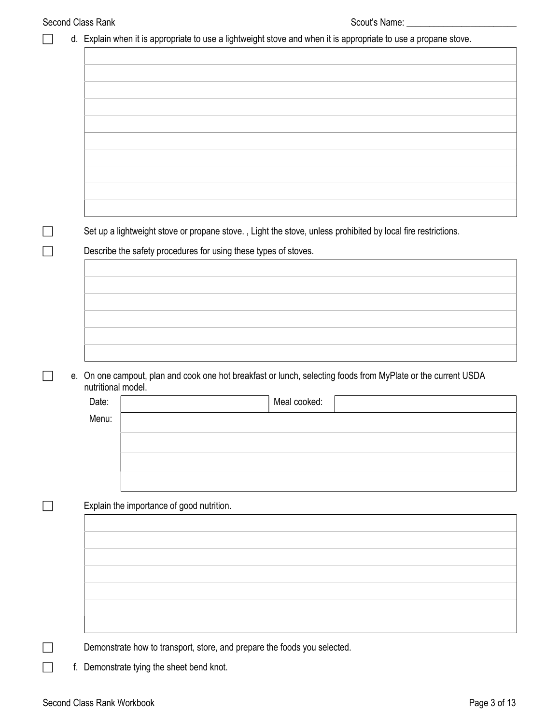|  |                    | d. Explain when it is appropriate to use a lightweight stove and when it is appropriate to use a propane stove. |
|--|--------------------|-----------------------------------------------------------------------------------------------------------------|
|  |                    |                                                                                                                 |
|  |                    |                                                                                                                 |
|  |                    |                                                                                                                 |
|  |                    |                                                                                                                 |
|  |                    |                                                                                                                 |
|  |                    |                                                                                                                 |
|  |                    |                                                                                                                 |
|  |                    |                                                                                                                 |
|  |                    |                                                                                                                 |
|  |                    |                                                                                                                 |
|  |                    |                                                                                                                 |
|  |                    |                                                                                                                 |
|  |                    | Set up a lightweight stove or propane stove., Light the stove, unless prohibited by local fire restrictions.    |
|  |                    | Describe the safety procedures for using these types of stoves.                                                 |
|  |                    |                                                                                                                 |
|  |                    |                                                                                                                 |
|  |                    |                                                                                                                 |
|  |                    |                                                                                                                 |
|  |                    |                                                                                                                 |
|  |                    |                                                                                                                 |
|  |                    |                                                                                                                 |
|  | nutritional model. | e. On one campout, plan and cook one hot breakfast or lunch, selecting foods from MyPlate or the current USDA   |
|  | Date:              | Meal cooked:                                                                                                    |
|  | Menu:              |                                                                                                                 |
|  |                    |                                                                                                                 |
|  |                    |                                                                                                                 |
|  |                    |                                                                                                                 |
|  |                    |                                                                                                                 |
|  |                    |                                                                                                                 |
|  |                    | Explain the importance of good nutrition.                                                                       |
|  |                    |                                                                                                                 |
|  |                    |                                                                                                                 |
|  |                    |                                                                                                                 |
|  |                    |                                                                                                                 |
|  |                    |                                                                                                                 |
|  |                    |                                                                                                                 |
|  |                    |                                                                                                                 |
|  |                    |                                                                                                                 |
|  |                    |                                                                                                                 |
|  |                    | Demonstrate how to transport, store, and prepare the foods you selected.                                        |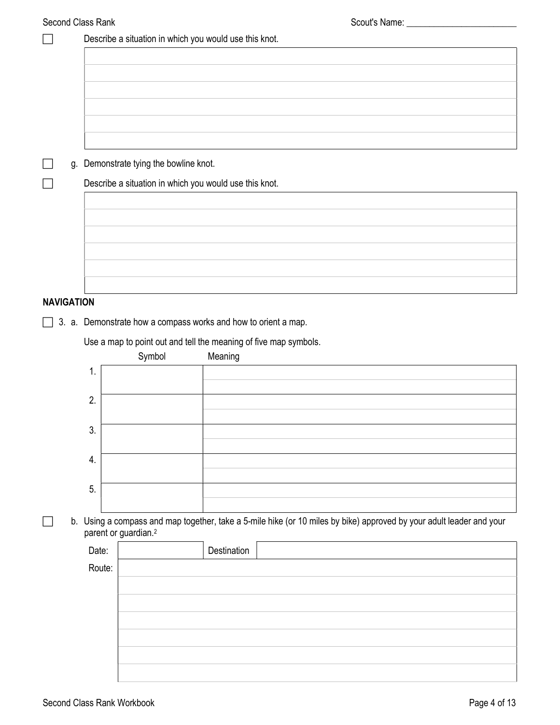|        | Describe a situation in which you would use this knot. |             |                                                                                                                                                                                                                                     |
|--------|--------------------------------------------------------|-------------|-------------------------------------------------------------------------------------------------------------------------------------------------------------------------------------------------------------------------------------|
|        |                                                        |             |                                                                                                                                                                                                                                     |
|        |                                                        |             |                                                                                                                                                                                                                                     |
|        |                                                        |             |                                                                                                                                                                                                                                     |
|        |                                                        |             |                                                                                                                                                                                                                                     |
|        |                                                        |             |                                                                                                                                                                                                                                     |
|        |                                                        |             |                                                                                                                                                                                                                                     |
|        |                                                        |             |                                                                                                                                                                                                                                     |
|        |                                                        |             |                                                                                                                                                                                                                                     |
|        |                                                        |             |                                                                                                                                                                                                                                     |
|        |                                                        |             |                                                                                                                                                                                                                                     |
|        |                                                        |             |                                                                                                                                                                                                                                     |
|        |                                                        |             |                                                                                                                                                                                                                                     |
|        |                                                        |             |                                                                                                                                                                                                                                     |
|        |                                                        |             |                                                                                                                                                                                                                                     |
|        |                                                        |             |                                                                                                                                                                                                                                     |
|        |                                                        |             |                                                                                                                                                                                                                                     |
|        |                                                        |             |                                                                                                                                                                                                                                     |
|        |                                                        | Meaning     |                                                                                                                                                                                                                                     |
|        |                                                        |             |                                                                                                                                                                                                                                     |
|        |                                                        |             |                                                                                                                                                                                                                                     |
| 1.     |                                                        |             |                                                                                                                                                                                                                                     |
| 2.     |                                                        |             |                                                                                                                                                                                                                                     |
|        |                                                        |             |                                                                                                                                                                                                                                     |
| 3.     |                                                        |             |                                                                                                                                                                                                                                     |
|        |                                                        |             |                                                                                                                                                                                                                                     |
| 4.     |                                                        |             |                                                                                                                                                                                                                                     |
|        |                                                        |             |                                                                                                                                                                                                                                     |
| 5.     |                                                        |             |                                                                                                                                                                                                                                     |
|        |                                                        |             |                                                                                                                                                                                                                                     |
|        | parent or guardian. <sup>2</sup>                       |             | b. Using a compass and map together, take a 5-mile hike (or 10 miles by bike) approved by your adult leader and your                                                                                                                |
| Date:  |                                                        | Destination |                                                                                                                                                                                                                                     |
| Route: |                                                        |             |                                                                                                                                                                                                                                     |
|        |                                                        |             |                                                                                                                                                                                                                                     |
|        |                                                        |             |                                                                                                                                                                                                                                     |
|        |                                                        |             |                                                                                                                                                                                                                                     |
|        |                                                        |             |                                                                                                                                                                                                                                     |
|        |                                                        |             |                                                                                                                                                                                                                                     |
|        | <b>NAVIGATION</b>                                      | Symbol      | Demonstrate tying the bowline knot.<br>Describe a situation in which you would use this knot.<br>3. a. Demonstrate how a compass works and how to orient a map.<br>Use a map to point out and tell the meaning of five map symbols. |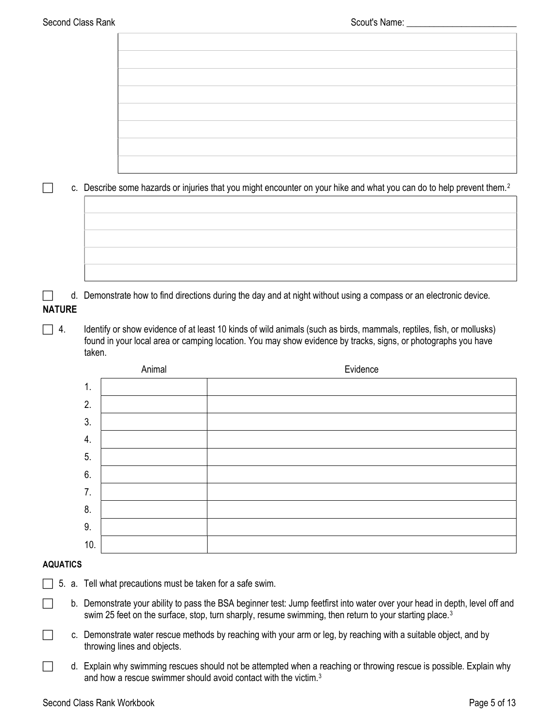|               |        |        | c. Describe some hazards or injuries that you might encounter on your hike and what you can do to help prevent them. <sup>2</sup>                                                                                                     |
|---------------|--------|--------|---------------------------------------------------------------------------------------------------------------------------------------------------------------------------------------------------------------------------------------|
|               |        |        |                                                                                                                                                                                                                                       |
|               |        |        |                                                                                                                                                                                                                                       |
|               |        |        |                                                                                                                                                                                                                                       |
|               |        |        |                                                                                                                                                                                                                                       |
|               |        |        |                                                                                                                                                                                                                                       |
| <b>NATURE</b> |        |        | d. Demonstrate how to find directions during the day and at night without using a compass or an electronic device.                                                                                                                    |
| 4.            | taken. |        | Identify or show evidence of at least 10 kinds of wild animals (such as birds, mammals, reptiles, fish, or mollusks)<br>found in your local area or camping location. You may show evidence by tracks, signs, or photographs you have |
|               |        | Animal | Evidence                                                                                                                                                                                                                              |
|               | 1.     |        |                                                                                                                                                                                                                                       |
|               | 2.     |        |                                                                                                                                                                                                                                       |
|               | 3.     |        |                                                                                                                                                                                                                                       |
|               | 4.     |        |                                                                                                                                                                                                                                       |
|               | 5.     |        |                                                                                                                                                                                                                                       |
|               | C      |        |                                                                                                                                                                                                                                       |

| O.      |  |
|---------|--|
| 6.      |  |
| . .     |  |
| o<br>о. |  |
| 9.      |  |
| 10.     |  |

# AQUATICS

- $\Box$  5. a. Tell what precautions must be taken for a safe swim.
- b. Demonstrate your ability to pass the BSA beginner test: Jump feetfirst into water over your head in depth, level off and swim 25 feet on the surface, stop, turn sharply, resume swimming, then return to your starting place.<sup>3</sup>
- c. Demonstrate water rescue methods by reaching with your arm or leg, by reaching with a suitable object, and by throwing lines and objects.
- d. Explain why swimming rescues should not be attempted when a reaching or throwing rescue is possible. Explain why and how a rescue swimmer should avoid contact with the victim.<sup>3</sup>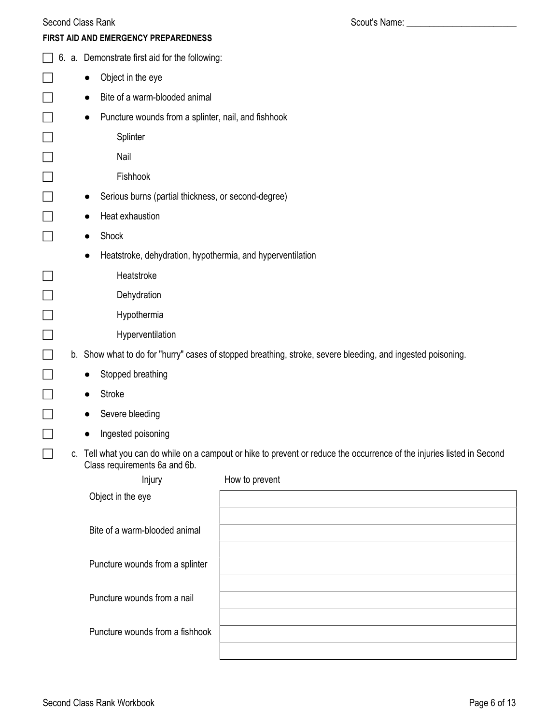| Second Class Rank |  |
|-------------------|--|
|                   |  |

|           | FIRST AID AND EMERGENCY PREPAREDNESS                       |                                                                                                                         |
|-----------|------------------------------------------------------------|-------------------------------------------------------------------------------------------------------------------------|
|           | 6. a. Demonstrate first aid for the following:             |                                                                                                                         |
| $\bullet$ | Object in the eye                                          |                                                                                                                         |
|           | Bite of a warm-blooded animal                              |                                                                                                                         |
|           | Puncture wounds from a splinter, nail, and fishhook        |                                                                                                                         |
|           | Splinter                                                   |                                                                                                                         |
|           | Nail                                                       |                                                                                                                         |
|           | Fishhook                                                   |                                                                                                                         |
|           | Serious burns (partial thickness, or second-degree)        |                                                                                                                         |
|           | Heat exhaustion                                            |                                                                                                                         |
|           | Shock                                                      |                                                                                                                         |
|           | Heatstroke, dehydration, hypothermia, and hyperventilation |                                                                                                                         |
|           | Heatstroke                                                 |                                                                                                                         |
|           | Dehydration                                                |                                                                                                                         |
|           | Hypothermia                                                |                                                                                                                         |
|           | Hyperventilation                                           |                                                                                                                         |
|           |                                                            | b. Show what to do for "hurry" cases of stopped breathing, stroke, severe bleeding, and ingested poisoning.             |
|           | Stopped breathing                                          |                                                                                                                         |
|           | Stroke                                                     |                                                                                                                         |
|           | Severe bleeding                                            |                                                                                                                         |
|           | Ingested poisoning                                         |                                                                                                                         |
|           | Class requirements 6a and 6b.                              | c. Tell what you can do while on a campout or hike to prevent or reduce the occurrence of the injuries listed in Second |
|           | Injury                                                     | How to prevent                                                                                                          |
|           | Object in the eye                                          |                                                                                                                         |
|           | Bite of a warm-blooded animal                              |                                                                                                                         |
|           |                                                            |                                                                                                                         |
|           | Puncture wounds from a splinter                            |                                                                                                                         |

Puncture wounds from a nail

Puncture wounds from a fishhook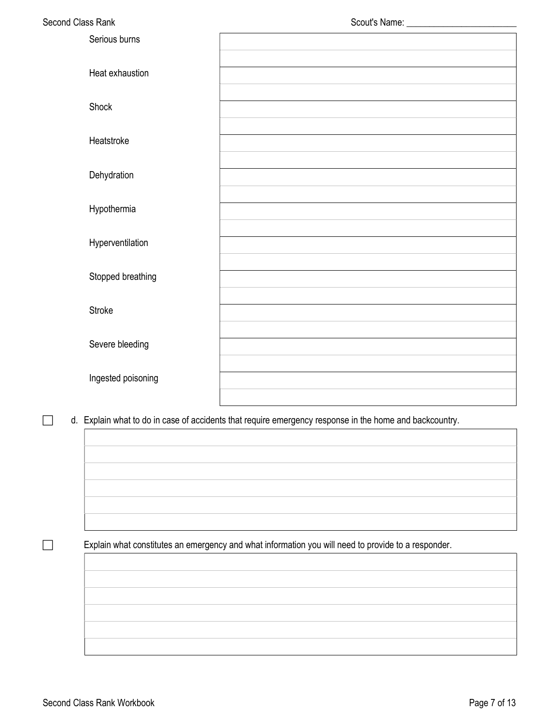| Second Class Rank  |                                                                                                         |
|--------------------|---------------------------------------------------------------------------------------------------------|
| Serious burns      |                                                                                                         |
| Heat exhaustion    |                                                                                                         |
| Shock              |                                                                                                         |
| Heatstroke         |                                                                                                         |
| Dehydration        |                                                                                                         |
| Hypothermia        |                                                                                                         |
| Hyperventilation   |                                                                                                         |
| Stopped breathing  |                                                                                                         |
| Stroke             |                                                                                                         |
| Severe bleeding    |                                                                                                         |
| Ingested poisoning |                                                                                                         |
|                    |                                                                                                         |
|                    | d. Explain what to do in case of accidents that require emergency response in the home and backcountry. |

Explain what constitutes an emergency and what information you will need to provide to a responder.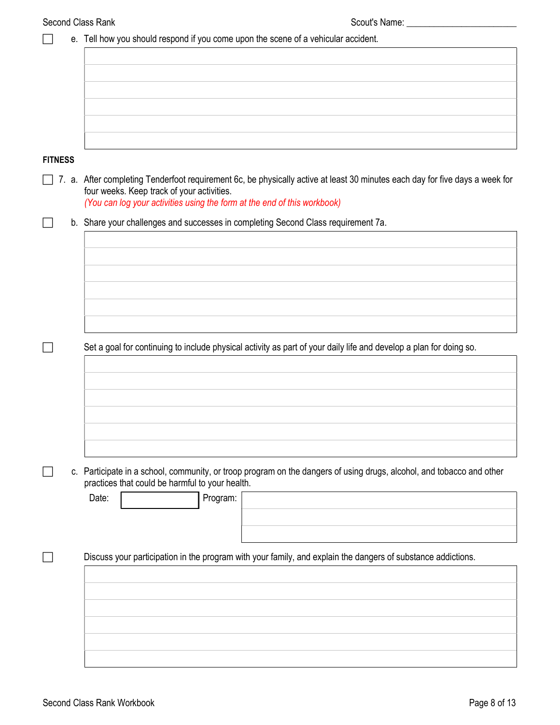| Second Class Rank |                                                                                                                        |                                                                                                                              |
|-------------------|------------------------------------------------------------------------------------------------------------------------|------------------------------------------------------------------------------------------------------------------------------|
|                   | e. Tell how you should respond if you come upon the scene of a vehicular accident.                                     |                                                                                                                              |
|                   |                                                                                                                        |                                                                                                                              |
|                   |                                                                                                                        |                                                                                                                              |
|                   |                                                                                                                        |                                                                                                                              |
|                   |                                                                                                                        |                                                                                                                              |
|                   |                                                                                                                        |                                                                                                                              |
| <b>FITNESS</b>    |                                                                                                                        |                                                                                                                              |
|                   | four weeks. Keep track of your activities.<br>(You can log your activities using the form at the end of this workbook) | 7. a. After completing Tenderfoot requirement 6c, be physically active at least 30 minutes each day for five days a week for |
|                   | b. Share your challenges and successes in completing Second Class requirement 7a.                                      |                                                                                                                              |
|                   |                                                                                                                        |                                                                                                                              |
|                   |                                                                                                                        |                                                                                                                              |
|                   |                                                                                                                        |                                                                                                                              |
|                   |                                                                                                                        |                                                                                                                              |
|                   |                                                                                                                        |                                                                                                                              |
|                   |                                                                                                                        | Set a goal for continuing to include physical activity as part of your daily life and develop a plan for doing so.           |
|                   |                                                                                                                        |                                                                                                                              |
|                   |                                                                                                                        |                                                                                                                              |
|                   |                                                                                                                        |                                                                                                                              |
|                   |                                                                                                                        |                                                                                                                              |
|                   |                                                                                                                        |                                                                                                                              |
|                   | practices that could be harmful to your health.                                                                        | c. Participate in a school, community, or troop program on the dangers of using drugs, alcohol, and tobacco and other        |
|                   | Program:<br>Date:                                                                                                      |                                                                                                                              |
|                   |                                                                                                                        |                                                                                                                              |
|                   |                                                                                                                        |                                                                                                                              |
|                   |                                                                                                                        | Discuss your participation in the program with your family, and explain the dangers of substance addictions.                 |
|                   |                                                                                                                        |                                                                                                                              |
|                   |                                                                                                                        |                                                                                                                              |
|                   |                                                                                                                        |                                                                                                                              |
|                   |                                                                                                                        |                                                                                                                              |
|                   |                                                                                                                        |                                                                                                                              |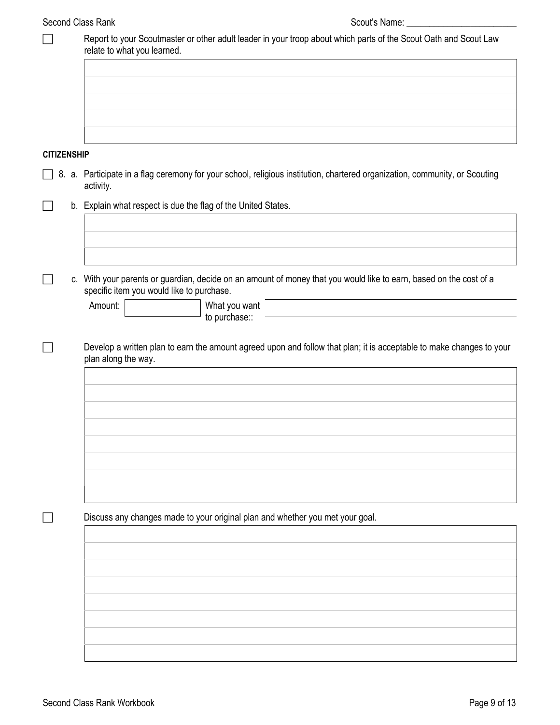|                    | Report to your Scoutmaster or other adult leader in your troop about which parts of the Scout Oath and Scout Law<br>relate to what you learned.                 |
|--------------------|-----------------------------------------------------------------------------------------------------------------------------------------------------------------|
|                    |                                                                                                                                                                 |
|                    |                                                                                                                                                                 |
|                    |                                                                                                                                                                 |
|                    |                                                                                                                                                                 |
| <b>CITIZENSHIP</b> |                                                                                                                                                                 |
|                    | 8. a. Participate in a flag ceremony for your school, religious institution, chartered organization, community, or Scouting<br>activity.                        |
|                    | b. Explain what respect is due the flag of the United States.                                                                                                   |
|                    |                                                                                                                                                                 |
|                    |                                                                                                                                                                 |
|                    | c. With your parents or guardian, decide on an amount of money that you would like to earn, based on the cost of a<br>specific item you would like to purchase. |
|                    | Amount:<br>What you want<br>to purchase::                                                                                                                       |
|                    | Develop a written plan to earn the amount agreed upon and follow that plan; it is acceptable to make changes to your<br>plan along the way.                     |
|                    |                                                                                                                                                                 |
|                    |                                                                                                                                                                 |
|                    |                                                                                                                                                                 |
|                    |                                                                                                                                                                 |
|                    |                                                                                                                                                                 |
|                    |                                                                                                                                                                 |
|                    |                                                                                                                                                                 |
|                    | Discuss any changes made to your original plan and whether you met your goal.                                                                                   |
|                    |                                                                                                                                                                 |
|                    |                                                                                                                                                                 |
|                    |                                                                                                                                                                 |
|                    |                                                                                                                                                                 |
|                    |                                                                                                                                                                 |
|                    |                                                                                                                                                                 |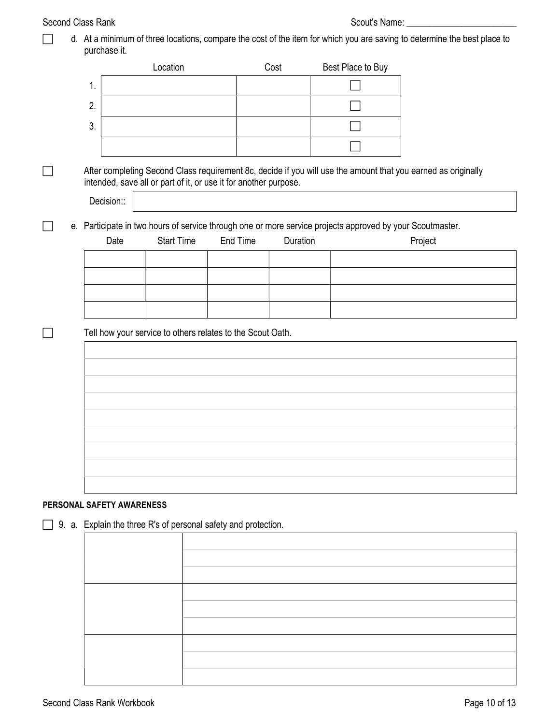|  |                           | Location                                                                                                  |          | Cost     | Best Place to Buy |                                                                                                               |
|--|---------------------------|-----------------------------------------------------------------------------------------------------------|----------|----------|-------------------|---------------------------------------------------------------------------------------------------------------|
|  | 1.                        |                                                                                                           |          |          |                   |                                                                                                               |
|  | 2.                        |                                                                                                           |          |          |                   |                                                                                                               |
|  | 3.                        |                                                                                                           |          |          |                   |                                                                                                               |
|  |                           |                                                                                                           |          |          |                   |                                                                                                               |
|  |                           | intended, save all or part of it, or use it for another purpose.                                          |          |          |                   | After completing Second Class requirement 8c, decide if you will use the amount that you earned as originally |
|  | Decision::                |                                                                                                           |          |          |                   |                                                                                                               |
|  |                           | e. Participate in two hours of service through one or more service projects approved by your Scoutmaster. |          |          |                   |                                                                                                               |
|  | Date                      | <b>Start Time</b>                                                                                         | End Time | Duration |                   | Project                                                                                                       |
|  |                           |                                                                                                           |          |          |                   |                                                                                                               |
|  |                           |                                                                                                           |          |          |                   |                                                                                                               |
|  |                           |                                                                                                           |          |          |                   |                                                                                                               |
|  |                           |                                                                                                           |          |          |                   |                                                                                                               |
|  |                           | Tell how your service to others relates to the Scout Oath.                                                |          |          |                   |                                                                                                               |
|  |                           |                                                                                                           |          |          |                   |                                                                                                               |
|  |                           |                                                                                                           |          |          |                   |                                                                                                               |
|  |                           |                                                                                                           |          |          |                   |                                                                                                               |
|  |                           |                                                                                                           |          |          |                   |                                                                                                               |
|  |                           |                                                                                                           |          |          |                   |                                                                                                               |
|  |                           |                                                                                                           |          |          |                   |                                                                                                               |
|  |                           |                                                                                                           |          |          |                   |                                                                                                               |
|  |                           |                                                                                                           |          |          |                   |                                                                                                               |
|  |                           |                                                                                                           |          |          |                   |                                                                                                               |
|  |                           |                                                                                                           |          |          |                   |                                                                                                               |
|  | PERSONAL SAFETY AWARENESS |                                                                                                           |          |          |                   |                                                                                                               |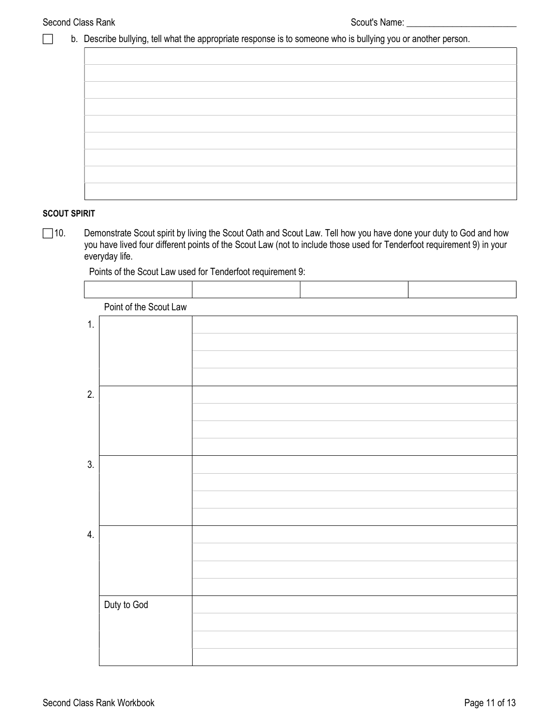## b. Describe bullying, tell what the appropriate response is to someone who is bullying you or another person.

#### SCOUT SPIRIT

□10. Demonstrate Scout spirit by living the Scout Oath and Scout Law. Tell how you have done your duty to God and how you have lived four different points of the Scout Law (not to include those used for Tenderfoot requirement 9) in your everyday life.

 Point of the Scout Law 1. 2. 3. 4. Duty to God

Points of the Scout Law used for Tenderfoot requirement 9: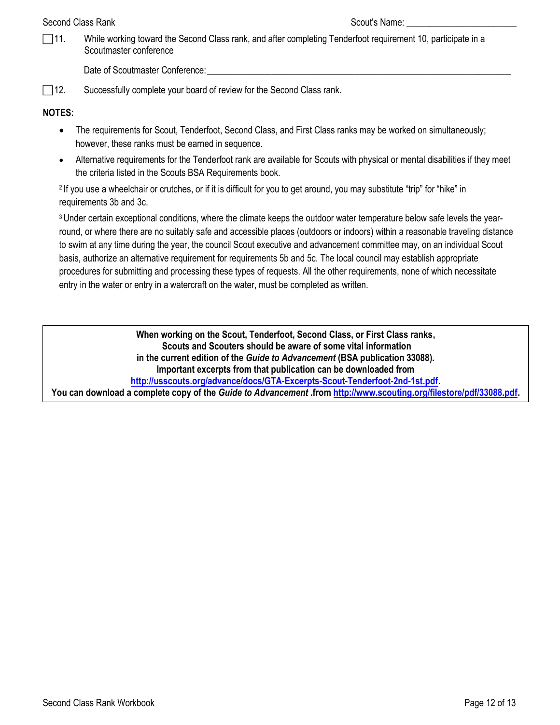#### Second Class Rank Scout's Name:  $\sim$  Scout's Name:  $\sim$  Scout's Name:

 11. While working toward the Second Class rank, and after completing Tenderfoot requirement 10, participate in a Scoutmaster conference

Date of Scoutmaster Conference:

□ 12. Successfully complete your board of review for the Second Class rank.

## NOTES:

- The requirements for Scout, Tenderfoot, Second Class, and First Class ranks may be worked on simultaneously; however, these ranks must be earned in sequence.
- Alternative requirements for the Tenderfoot rank are available for Scouts with physical or mental disabilities if they meet the criteria listed in the Scouts BSA Requirements book.

<sup>2</sup>If you use a wheelchair or crutches, or if it is difficult for you to get around, you may substitute "trip" for "hike" in requirements 3b and 3c.

<sup>3</sup> Under certain exceptional conditions, where the climate keeps the outdoor water temperature below safe levels the yearround, or where there are no suitably safe and accessible places (outdoors or indoors) within a reasonable traveling distance to swim at any time during the year, the council Scout executive and advancement committee may, on an individual Scout basis, authorize an alternative requirement for requirements 5b and 5c. The local council may establish appropriate procedures for submitting and processing these types of requests. All the other requirements, none of which necessitate entry in the water or entry in a watercraft on the water, must be completed as written.

When working on the Scout, Tenderfoot, Second Class, or First Class ranks, Scouts and Scouters should be aware of some vital information in the current edition of the Guide to Advancement (BSA publication 33088). Important excerpts from that publication can be downloaded from http://usscouts.org/advance/docs/GTA-Excerpts-Scout-Tenderfoot-2nd-1st.pdf. You can download a complete copy of the Guide to Advancement .from http://www.scouting.org/filestore/pdf/33088.pdf.

Second Class Rank Workbook Page 12 of 13